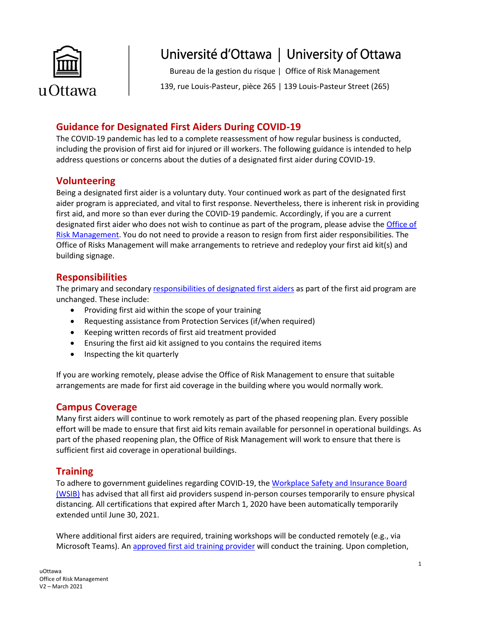

Bureau de la gestion du risque | Office of Risk Management

139, rue Louis-Pasteur, pièce 265 | 139 Louis-Pasteur Street (265)

## **Guidance for Designated First Aiders During COVID-19**

The COVID-19 pandemic has led to a complete reassessment of how regular business is conducted, including the provision of first aid for injured or ill workers. The following guidance is intended to help address questions or concerns about the duties of a designated first aider during COVID-19.

### **Volunteering**

Being a designated first aider is a voluntary duty. Your continued work as part of the designated first aider program is appreciated, and vital to first response. Nevertheless, there is inherent risk in providing first aid, and more so than ever during the COVID-19 pandemic. Accordingly, if you are a current designated first aider who does not wish to continue as part of the program, please advise the [Office of](mailto:gnelson@uottawa.ca)  [Risk Management.](mailto:gnelson@uottawa.ca) You do not need to provide a reason to resign from first aider responsibilities. The Office of Risks Management will make arrangements to retrieve and redeploy your first aid kit(s) and building signage.

### **Responsibilities**

The primary and secondary [responsibilities of designated first aiders](https://orm.uottawa.ca/sites/orm.uottawa.ca/files/guide-designated-first-aiders.pdf) as part of the first aid program are unchanged. These include:

- Providing first aid within the scope of your training
- Requesting assistance from Protection Services (if/when required)
- Keeping written records of first aid treatment provided
- Ensuring the first aid kit assigned to you contains the required items
- Inspecting the kit quarterly

If you are working remotely, please advise the Office of Risk Management to ensure that suitable arrangements are made for first aid coverage in the building where you would normally work.

## **Campus Coverage**

Many first aiders will continue to work remotely as part of the phased reopening plan. Every possible effort will be made to ensure that first aid kits remain available for personnel in operational buildings. As part of the phased reopening plan, the Office of Risk Management will work to ensure that there is sufficient first aid coverage in operational buildings.

### **Training**

To adhere to government guidelines regarding COVID-19, the [Workplace Safety and Insurance Board](https://www.wsib.ca/en/businesses/health-and-safety/training/first-aid-program)  [\(WSIB\)](https://www.wsib.ca/en/businesses/health-and-safety/training/first-aid-program) has advised that all first aid providers suspend in-person courses temporarily to ensure physical distancing. All certifications that expired after March 1, 2020 have been automatically temporarily extended until June 30, 2021.

Where additional first aiders are required, training workshops will be conducted remotely (e.g., via Microsoft Teams). An [approved first aid training provider](https://www.wsib.ca/en/providers-approved-deliver-emergency-and-standard-first-aid) will conduct the training. Upon completion,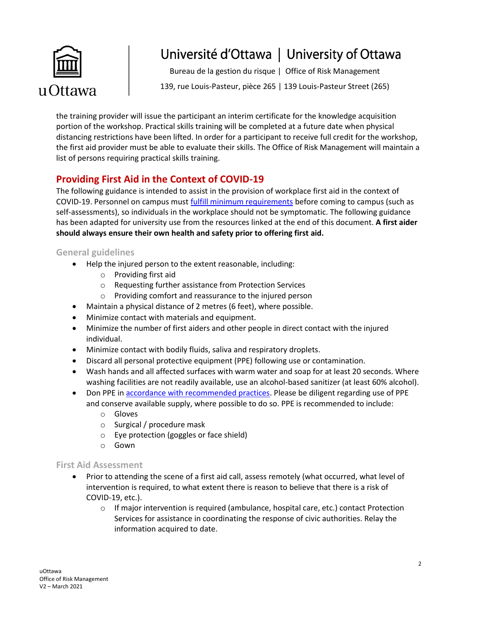

Bureau de la gestion du risque | Office of Risk Management

139, rue Louis-Pasteur, pièce 265 | 139 Louis-Pasteur Street (265)

the training provider will issue the participant an interim certificate for the knowledge acquisition portion of the workshop. Practical skills training will be completed at a future date when physical distancing restrictions have been lifted. In order for a participant to receive full credit for the workshop, the first aid provider must be able to evaluate their skills. The Office of Risk Management will maintain a list of persons requiring practical skills training.

# **Providing First Aid in the Context of COVID-19**

The following guidance is intended to assist in the provision of workplace first aid in the context of COVID-19. Personnel on campus must [fulfill minimum requirements](https://orm.uottawa.ca/my-safety/occupational-health-safety/covid-19) before coming to campus (such as self-assessments), so individuals in the workplace should not be symptomatic. The following guidance has been adapted for university use from the resources linked at the end of this document. **A first aider should always ensure their own health and safety prior to offering first aid.**

#### **General guidelines**

- Help the injured person to the extent reasonable, including:
	- o Providing first aid
	- o Requesting further assistance from Protection Services
	- o Providing comfort and reassurance to the injured person
- Maintain a physical distance of 2 metres (6 feet), where possible.
- Minimize contact with materials and equipment.
- Minimize the number of first aiders and other people in direct contact with the injured individual.
- Minimize contact with bodily fluids, saliva and respiratory droplets.
- Discard all personal protective equipment (PPE) following use or contamination.
- Wash hands and all affected surfaces with warm water and soap for at least 20 seconds. Where washing facilities are not readily available, use an alcohol-based sanitizer (at least 60% alcohol).
- Don PPE i[n accordance with recommended practices.](https://www.publichealthontario.ca/-/media/documents/ncov/ipac/ppe-recommended-steps) Please be diligent regarding use of PPE and conserve available supply, where possible to do so. PPE is recommended to include:
	- o Gloves
	- o Surgical / procedure mask
	- o Eye protection (goggles or face shield)
	- o Gown

#### **First Aid Assessment**

- Prior to attending the scene of a first aid call, assess remotely (what occurred, what level of intervention is required, to what extent there is reason to believe that there is a risk of COVID-19, etc.).
	- $\circ$  If major intervention is required (ambulance, hospital care, etc.) contact Protection Services for assistance in coordinating the response of civic authorities. Relay the information acquired to date.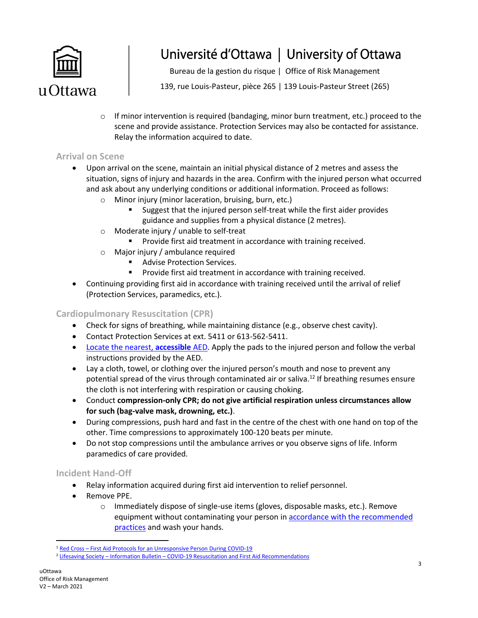

Bureau de la gestion du risque | Office of Risk Management

139, rue Louis-Pasteur, pièce 265 | 139 Louis-Pasteur Street (265)

 $\circ$  If minor intervention is required (bandaging, minor burn treatment, etc.) proceed to the scene and provide assistance. Protection Services may also be contacted for assistance. Relay the information acquired to date.

#### **Arrival on Scene**

- Upon arrival on the scene, maintain an initial physical distance of 2 metres and assess the situation, signs of injury and hazards in the area. Confirm with the injured person what occurred and ask about any underlying conditions or additional information. Proceed as follows:
	- o Minor injury (minor laceration, bruising, burn, etc.)
		- Suggest that the injured person self-treat while the first aider provides guidance and supplies from a physical distance (2 metres).
	- o Moderate injury / unable to self-treat
		- **Provide first aid treatment in accordance with training received.**
	- o Major injury / ambulance required
		- **Advise Protection Services.**
		- Provide first aid treatment in accordance with training received.
- Continuing providing first aid in accordance with training received until the arrival of relief (Protection Services, paramedics, etc.).

#### **Cardiopulmonary Resuscitation (CPR)**

- Check for signs of breathing, while maintaining distance (e.g., observe chest cavity).
- Contact Protection Services at ext. 5411 or 613-562-5411.
- [Locate the nearest,](https://www.google.com/maps/d/drive?state=%7B%22ids%22%3A%5B%221QlG21WkwDzyD9N1NT0mqgZDphsTD3vnU%22%5D%2C%22action%22%3A%22open%22%2C%22userId%22%3A%22117455414559903790955%22%7D&usp=sharing) **accessible** AED. Apply the pads to the injured person and follow the verbal instructions provided by the AED.
- Lay a cloth, towel, or clothing over the injured person's mouth and nose to prevent any potential spread of the virus through contaminated air or saliva.<sup>12</sup> If breathing resumes ensure the cloth is not interfering with respiration or causing choking.
- Conduct **compression-only CPR; do not give artificial respiration unless circumstances allow for such (bag-valve mask, drowning, etc.)**.
- During compressions, push hard and fast in the centre of the chest with one hand on top of the other. Time compressions to approximately 100-120 beats per minute.
- Do not stop compressions until the ambulance arrives or you observe signs of life. Inform paramedics of care provided.

#### **Incident Hand-Off**

- Relay information acquired during first aid intervention to relief personnel.
- Remove PPE.
	- o Immediately dispose of single-use items (gloves, disposable masks, etc.). Remove equipment without contaminating your person in accordance with the recommended [practices](https://www.publichealthontario.ca/-/media/documents/ncov/ipac/ppe-recommended-steps) and wash your hands.

 $\overline{\phantom{a}}$ 

<sup>&</sup>lt;sup>1</sup> Red Cross – [First Aid Protocols for an Unresponsive Person During COVID-19](https://www.redcross.ca/training-and-certification/first-aid-tips-and-resources/first-aid-tips/first-aid-protocols-for-an-unresponsive-person-during-covid-19)

<sup>2</sup> Lifesaving Society – Information Bulletin – [COVID-19 Resuscitation and First Aid Recommendations](https://www.lifesaving.ca/cmsUploads/lifesaving/File/Information%20Bulletin%20-%20Resuscitation%20%26%20First%20Aid%20Recommendations.pdf)